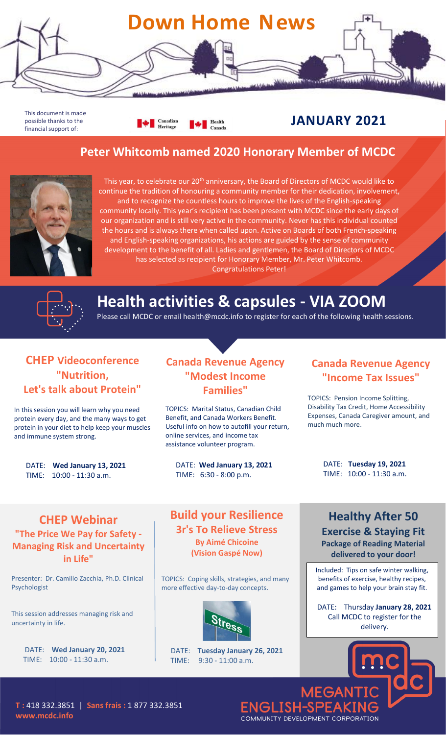

This document is made possible thanks to the financial support of:

**All Canadian** Health

### **JANUARY 2021**

#### **Peter Whitcomb named 2020 Honorary Member of MCDC**



This year, to celebrate our 20<sup>th</sup> anniversary, the Board of Directors of MCDC would like to continue the tradition of honouring a community member for their dedication, involvement, and to recognize the countless hours to improve the lives of the English-speaking community locally. This year's recipient has been present with MCDC since the early days of our organization and is still very active in the community. Never has this individual counted the hours and is always there when called upon. Active on Boards of both French-speaking and English-speaking organizations, his actions are guided by the sense of community development to the benefit of all. Ladies and gentlemen, the Board of Directors of MCDC has selected as recipient for Honorary Member, Mr. Peter Whitcomb. Congratulations Peter!



# **Health activities & capsules - VIA ZOOM**

Please call MCDC or email health@mcdc.info to register for each of the following health sessions.

#### **CHEP Videoconference "Nutrition, Let's talk about Protein"**

In this session you will learn why you need protein every day, and the many ways to get protein in your diet to help keep your muscles and immune system strong.

DATE: **Wed January 13, 2021** TIME: 10:00 - 11:30 a.m.

#### **Canada Revenue Agency "Modest Income Families"**

TOPICS: Marital Status, Canadian Child Benefit, and Canada Workers Benefit. Useful info on how to autofill your return, online services, and income tax assistance volunteer program.

DATE: **Wed January 13, 2021** TIME: 6:30 - 8:00 p.m.

#### **Canada Revenue Agency "Income Tax Issues"**

TOPICS: Pension Income Splitting, Disability Tax Credit, Home Accessibility Expenses, Canada Caregiver amount, and much much more.

> DATE: **Tuesday 19, 2021** TIME: 10:00 - 11:30 a.m.

#### **CHEP Webinar "The Price We Pay for Safety - Managing Risk and Uncertainty in Life"**

Presenter: Dr. Camillo Zacchia, Ph.D. Clinical **TOPICS** Psychologist

This session addresses managing risk and uncertainty in life.

DATE: **Wed January 20, 2021** TIME: 10:00 - 11:30 a.m.

#### **Build your Resilience 3r's To Relieve Stress By Aimé Chicoine**

**(Vision Gaspé Now)**

TOPICS: Coping skills, strategies, and many more effective day-to-day concepts.



DATE: **Tuesday January 26, 2021** TIME: 9:30 - 11:00 a.m.

#### **Healthy After 50 Exercise & Staying Fit Package of Reading Material**

**delivered to your door!**

Included: Tips on safe winter walking, benefits of exercise, healthy recipes, and games to help your brain stay fit.

DATE: Thursday **January 28, 2021** Call MCDC to register for the delivery.

**T :** 418 332.3851 | **Sans frais :** 1 877 332.3851 **www.mcdc.info**

ENGLISH-SPE COMMUNITY DEVELOPMENT CORPORATION

**MEGAI**